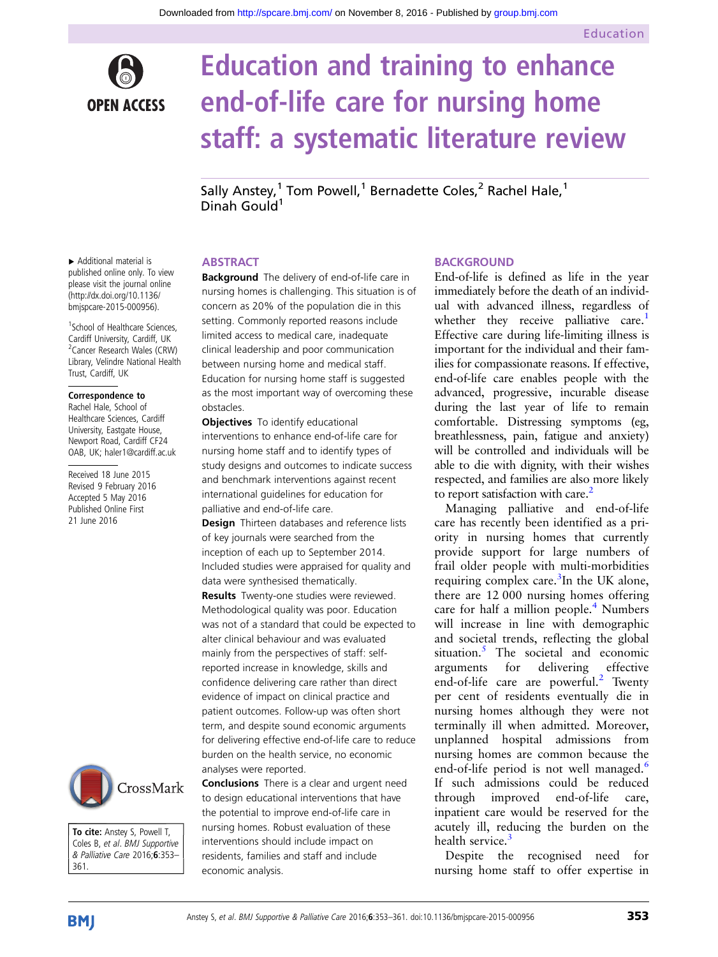

# Education and training to enhance end-of-life care for nursing home staff: a systematic literature review

Sally Anstey,<sup>1</sup> Tom Powell,<sup>1</sup> Bernadette Coles,<sup>2</sup> Rachel Hale,<sup>1</sup> Dinah Gould<sup>1</sup>

#### **ABSTRACT**

Background The delivery of end-of-life care in nursing homes is challenging. This situation is of concern as 20% of the population die in this setting. Commonly reported reasons include limited access to medical care, inadequate clinical leadership and poor communication between nursing home and medical staff. Education for nursing home staff is suggested as the most important way of overcoming these obstacles.

**Objectives** To identify educational interventions to enhance end-of-life care for nursing home staff and to identify types of study designs and outcomes to indicate success and benchmark interventions against recent international guidelines for education for palliative and end-of-life care.

**Design** Thirteen databases and reference lists of key journals were searched from the inception of each up to September 2014. Included studies were appraised for quality and data were synthesised thematically.

Results Twenty-one studies were reviewed. Methodological quality was poor. Education was not of a standard that could be expected to alter clinical behaviour and was evaluated mainly from the perspectives of staff: selfreported increase in knowledge, skills and confidence delivering care rather than direct evidence of impact on clinical practice and patient outcomes. Follow-up was often short term, and despite sound economic arguments for delivering effective end-of-life care to reduce burden on the health service, no economic analyses were reported.

Conclusions There is a clear and urgent need to design educational interventions that have the potential to improve end-of-life care in nursing homes. Robust evaluation of these interventions should include impact on residents, families and staff and include economic analysis.

#### BACKGROUND

End-of-life is defined as life in the year immediately before the death of an individual with advanced illness, regardless of whether they receive palliative care.<sup>1</sup> Effective care during life-limiting illness is important for the individual and their families for compassionate reasons. If effective, end-of-life care enables people with the advanced, progressive, incurable disease during the last year of life to remain comfortable. Distressing symptoms (eg, breathlessness, pain, fatigue and anxiety) will be controlled and individuals will be able to die with dignity, with their wishes respected, and families are also more likely to report satisfaction with care.<sup>2</sup>

Managing palliative and end-of-life care has recently been identified as a priority in nursing homes that currently provide support for large numbers of frail older people with multi-morbidities requiring complex care.<sup>[3](#page-7-0)</sup>In the UK alone, there are 12 000 nursing homes offering care for half a million people.<sup>[4](#page-7-0)</sup> Numbers will increase in line with demographic and societal trends, reflecting the global situation. $5$  The societal and economic arguments for delivering effective end-of-life care are powerful.<sup>[2](#page-7-0)</sup> Twenty per cent of residents eventually die in nursing homes although they were not terminally ill when admitted. Moreover, unplanned hospital admissions from nursing homes are common because the end-of-life period is not well managed.<sup>[6](#page-7-0)</sup> If such admissions could be reduced through improved end-of-life care, inpatient care would be reserved for the acutely ill, reducing the burden on the health service.<sup>[3](#page-7-0)</sup>

Despite the recognised need for nursing home staff to offer expertise in

▸ Additional material is published online only. To view please visit the journal online ([http://dx.doi.org/10.1136/](http://dx.doi.org/10.1136/bmjspcare-2015-000956) [bmjspcare-2015-000956](http://dx.doi.org/10.1136/bmjspcare-2015-000956)).

<sup>1</sup>School of Healthcare Sciences, Cardiff University, Cardiff, UK <sup>2</sup> Cancer Research Wales (CRW) Library, Velindre National Health Trust, Cardiff, UK

#### Correspondence to

Rachel Hale, School of Healthcare Sciences, Cardiff University, Eastgate House, Newport Road, Cardiff CF24 OAB, UK; haler1@cardiff.ac.uk

Received 18 June 2015 Revised 9 February 2016 Accepted 5 May 2016 Published Online First 21 June 2016



To cite: Anstey S, Powell T, Coles B, et al. BMJ Supportive & Palliative Care 2016;6:353– 361.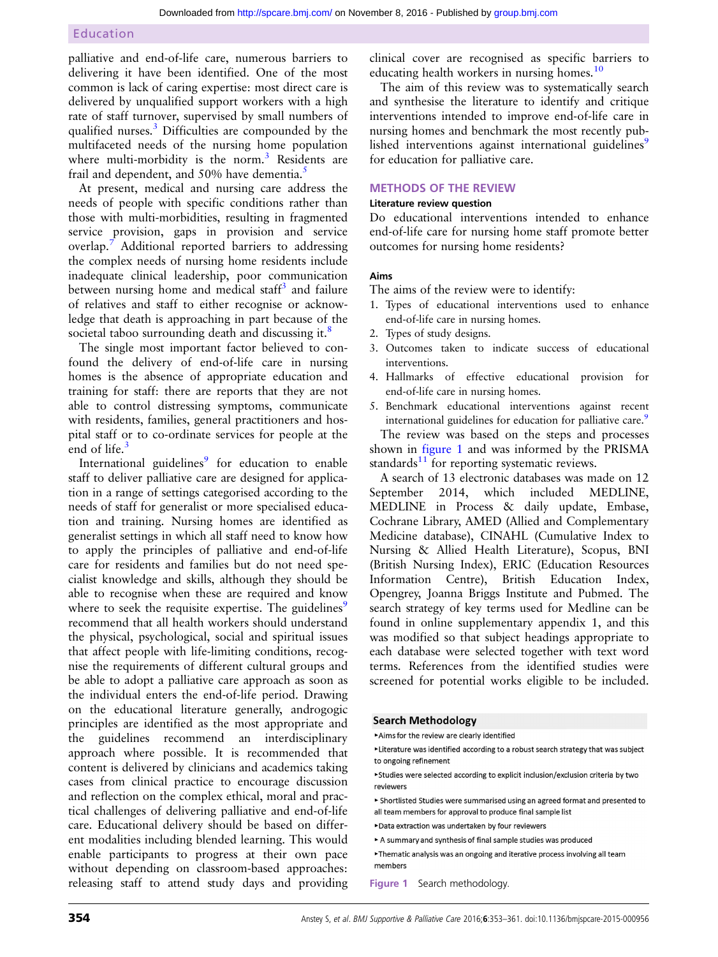#### Education

palliative and end-of-life care, numerous barriers to delivering it have been identified. One of the most common is lack of caring expertise: most direct care is delivered by unqualified support workers with a high rate of staff turnover, supervised by small numbers of qualified nurses.<sup>[3](#page-7-0)</sup> Difficulties are compounded by the multifaceted needs of the nursing home population where multi-morbidity is the norm.<sup>[3](#page-7-0)</sup> Residents are frail and dependent, and [5](#page-7-0)0% have dementia.<sup>5</sup>

At present, medical and nursing care address the needs of people with specific conditions rather than those with multi-morbidities, resulting in fragmented service provision, gaps in provision and service overlap.[7](#page-7-0) Additional reported barriers to addressing the complex needs of nursing home residents include inadequate clinical leadership, poor communication between nursing home and medical staff<sup>[3](#page-7-0)</sup> and failure of relatives and staff to either recognise or acknowledge that death is approaching in part because of the societal taboo surrounding death and discussing it.<sup>[8](#page-7-0)</sup>

The single most important factor believed to confound the delivery of end-of-life care in nursing homes is the absence of appropriate education and training for staff: there are reports that they are not able to control distressing symptoms, communicate with residents, families, general practitioners and hospital staff or to co-ordinate services for people at the end of life. $3$ 

International guidelines $9$  for education to enable staff to deliver palliative care are designed for application in a range of settings categorised according to the needs of staff for generalist or more specialised education and training. Nursing homes are identified as generalist settings in which all staff need to know how to apply the principles of palliative and end-of-life care for residents and families but do not need specialist knowledge and skills, although they should be able to recognise when these are required and know where to seek the requisite expertise. The guidelines<sup>[9](#page-7-0)</sup> recommend that all health workers should understand the physical, psychological, social and spiritual issues that affect people with life-limiting conditions, recognise the requirements of different cultural groups and be able to adopt a palliative care approach as soon as the individual enters the end-of-life period. Drawing on the educational literature generally, androgogic principles are identified as the most appropriate and the guidelines recommend an interdisciplinary approach where possible. It is recommended that content is delivered by clinicians and academics taking cases from clinical practice to encourage discussion and reflection on the complex ethical, moral and practical challenges of delivering palliative and end-of-life care. Educational delivery should be based on different modalities including blended learning. This would enable participants to progress at their own pace without depending on classroom-based approaches: releasing staff to attend study days and providing clinical cover are recognised as specific barriers to educating health workers in nursing homes.<sup>[10](#page-7-0)</sup>

The aim of this review was to systematically search and synthesise the literature to identify and critique interventions intended to improve end-of-life care in nursing homes and benchmark the most recently published interventions against international guidelines<sup>9</sup> for education for palliative care.

#### METHODS OF THE REVIEW

#### Literature review question

Do educational interventions intended to enhance end-of-life care for nursing home staff promote better outcomes for nursing home residents?

#### Aims

The aims of the review were to identify:

- 1. Types of educational interventions used to enhance end-of-life care in nursing homes.
- 2. Types of study designs.
- 3. Outcomes taken to indicate success of educational interventions.
- 4. Hallmarks of effective educational provision for end-of-life care in nursing homes.
- 5. Benchmark educational interventions against recent international guidelines for education for palliative care.<sup>[9](#page-7-0)</sup>

The review was based on the steps and processes shown in figure 1 and was informed by the PRISMA standards $^{11}$  $^{11}$  $^{11}$  for reporting systematic reviews.

A search of 13 electronic databases was made on 12 September 2014, which included MEDLINE, MEDLINE in Process & daily update, Embase, Cochrane Library, AMED (Allied and Complementary Medicine database), CINAHL (Cumulative Index to Nursing & Allied Health Literature), Scopus, BNI (British Nursing Index), ERIC (Education Resources Information Centre), British Education Index, Opengrey, Joanna Briggs Institute and Pubmed. The search strategy of key terms used for Medline can be found in online supplementary appendix 1, and this was modified so that subject headings appropriate to each database were selected together with text word terms. References from the identified studies were screened for potential works eligible to be included.

#### **Search Methodology**

- Aims for the review are clearly identified
- ► Literature was identified according to a robust search strategy that was subject to ongoing refinement
- ▶ Studies were selected according to explicit inclusion/exclusion criteria by two reviewers
- ▶ Shortlisted Studies were summarised using an agreed format and presented to all team members for approval to produce final sample list
- >Data extraction was undertaken by four reviewers
- A summary and synthesis of final sample studies was produced
- ▶ Thematic analysis was an ongoing and iterative process involving all team members

Figure 1 Search methodology.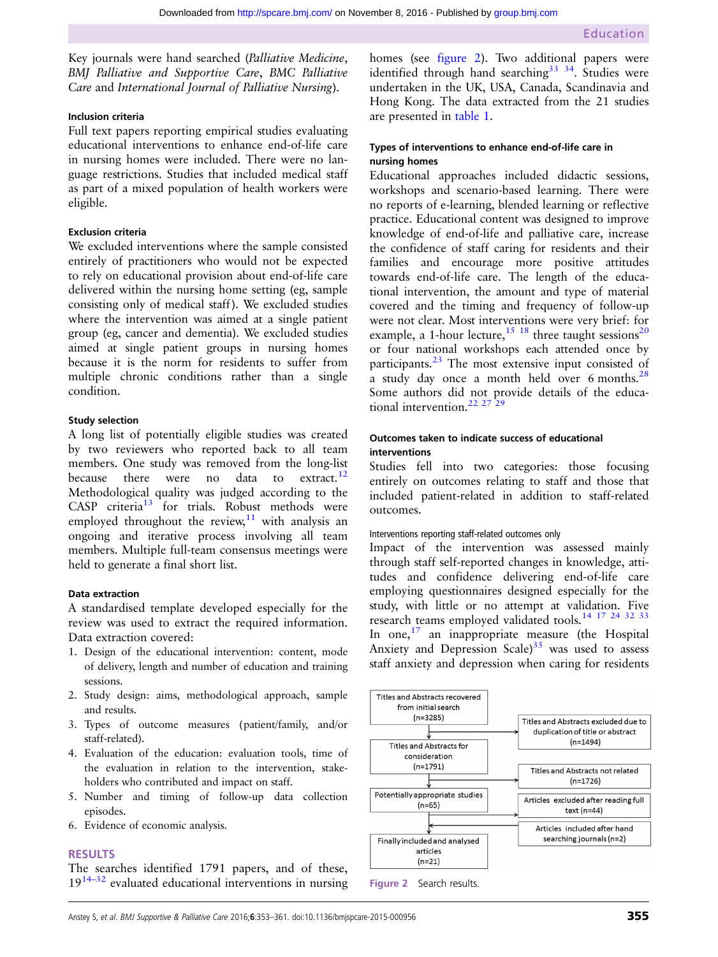Key journals were hand searched (Palliative Medicine, BMJ Palliative and Supportive Care, BMC Palliative Care and International Journal of Palliative Nursing).

#### Inclusion criteria

Full text papers reporting empirical studies evaluating educational interventions to enhance end-of-life care in nursing homes were included. There were no language restrictions. Studies that included medical staff as part of a mixed population of health workers were eligible.

#### Exclusion criteria

We excluded interventions where the sample consisted entirely of practitioners who would not be expected to rely on educational provision about end-of-life care delivered within the nursing home setting (eg, sample consisting only of medical staff ). We excluded studies where the intervention was aimed at a single patient group (eg, cancer and dementia). We excluded studies aimed at single patient groups in nursing homes because it is the norm for residents to suffer from multiple chronic conditions rather than a single condition.

#### Study selection

A long list of potentially eligible studies was created by two reviewers who reported back to all team members. One study was removed from the long-list because there were no data to extract.<sup>[12](#page-7-0)</sup> Methodological quality was judged according to the  $CASP$  criteria<sup>[13](#page-7-0)</sup> for trials. Robust methods were employed throughout the review, $11$  with analysis an ongoing and iterative process involving all team members. Multiple full-team consensus meetings were held to generate a final short list.

#### Data extraction

A standardised template developed especially for the review was used to extract the required information. Data extraction covered:

- 1. Design of the educational intervention: content, mode of delivery, length and number of education and training sessions.
- 2. Study design: aims, methodological approach, sample and results.
- 3. Types of outcome measures (patient/family, and/or staff-related).
- 4. Evaluation of the education: evaluation tools, time of the evaluation in relation to the intervention, stakeholders who contributed and impact on staff.
- 5. Number and timing of follow-up data collection episodes.
- 6. Evidence of economic analysis.

#### RESULTS

The searches identified 1791 papers, and of these,  $19^{14-32}$  $19^{14-32}$  $19^{14-32}$  evaluated educational interventions in nursing

homes (see figure 2). Two additional papers were identified through hand searching<sup>[33 34](#page-8-0)</sup>. Studies were undertaken in the UK, USA, Canada, Scandinavia and Hong Kong. The data extracted from the 21 studies are presented in [table 1](#page-3-0).

#### Types of interventions to enhance end-of-life care in nursing homes

Educational approaches included didactic sessions, workshops and scenario-based learning. There were no reports of e-learning, blended learning or reflective practice. Educational content was designed to improve knowledge of end-of-life and palliative care, increase the confidence of staff caring for residents and their families and encourage more positive attitudes towards end-of-life care. The length of the educational intervention, the amount and type of material covered and the timing and frequency of follow-up were not clear. Most interventions were very brief: for example, a 1-hour lecture, $15 \frac{18}{18}$  three taught sessions<sup>[20](#page-7-0)</sup> or four national workshops each attended once by participants.<sup>[23](#page-7-0)</sup> The most extensive input consisted of a study day once a month held over 6 months. $^{28}$  $^{28}$  $^{28}$ Some authors did not provide details of the educational intervention.<sup>22</sup> <sup>27</sup> <sup>29</sup>

#### Outcomes taken to indicate success of educational interventions

Studies fell into two categories: those focusing entirely on outcomes relating to staff and those that included patient-related in addition to staff-related outcomes.

#### Interventions reporting staff-related outcomes only

Impact of the intervention was assessed mainly through staff self-reported changes in knowledge, attitudes and confidence delivering end-of-life care employing questionnaires designed especially for the study, with little or no attempt at validation. Five research teams employed validated tools.[14 17 24](#page-7-0) [32 33](#page-8-0) In one,  $17$  an inappropriate measure (the Hospital Anxiety and Depression Scale) $35$  was used to assess staff anxiety and depression when caring for residents

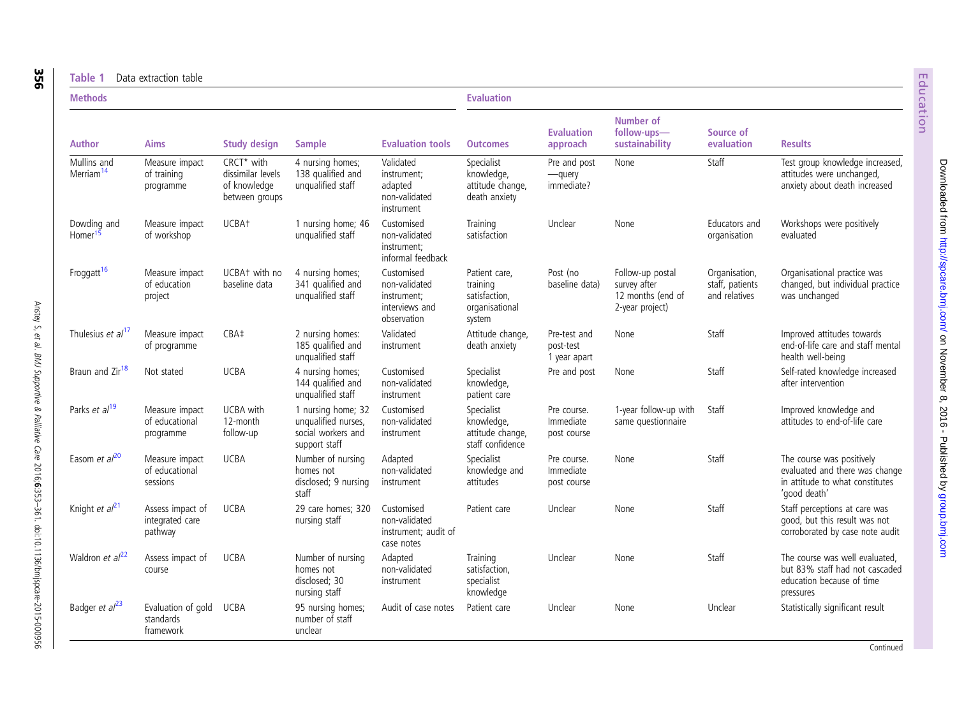<span id="page-3-0"></span>

| . .<br>×<br>٠ |  |
|---------------|--|

Anstey S,

et al.

BMJ Supportive & Palliative Care

2016;6:353

–361. doi:10.1136/bmjspcare-2015-000956

#### Table 1 Data extraction table

| <b>Methods</b>                       |                                                |                                                                   |                                                                                  |                                                                             | <b>Evaluation</b>                                                      |                                           |                                                                          |                                                   |                                                                                                                |
|--------------------------------------|------------------------------------------------|-------------------------------------------------------------------|----------------------------------------------------------------------------------|-----------------------------------------------------------------------------|------------------------------------------------------------------------|-------------------------------------------|--------------------------------------------------------------------------|---------------------------------------------------|----------------------------------------------------------------------------------------------------------------|
| <b>Author</b>                        | <b>Aims</b>                                    | <b>Study design</b>                                               | <b>Sample</b>                                                                    | <b>Evaluation tools</b>                                                     | <b>Outcomes</b>                                                        | <b>Evaluation</b><br>approach             | Number of<br>follow-ups-<br>sustainability                               | Source of<br>evaluation                           | <b>Results</b>                                                                                                 |
| Mullins and<br>Merriam <sup>14</sup> | Measure impact<br>of training<br>programme     | CRCT* with<br>dissimilar levels<br>of knowledge<br>between groups | 4 nursing homes;<br>138 qualified and<br>unqualified staff                       | Validated<br>instrument;<br>adapted<br>non-validated<br>instrument          | Specialist<br>knowledge,<br>attitude change,<br>death anxiety          | Pre and post<br>-query<br>immediate?      | None                                                                     | Staff                                             | Test group knowledge increased,<br>attitudes were unchanged,<br>anxiety about death increased                  |
| Dowding and<br>Homer <sup>15</sup>   | Measure impact<br>of workshop                  | UCBA <sup>+</sup>                                                 | 1 nursing home; 46<br>unqualified staff                                          | Customised<br>non-validated<br>instrument;<br>informal feedback             | Training<br>satisfaction                                               | Unclear                                   | None                                                                     | Educators and<br>organisation                     | Workshops were positively<br>evaluated                                                                         |
| Froggatt <sup>16</sup>               | Measure impact<br>of education<br>project      | UCBA <sub>†</sub> with no<br>baseline data                        | 4 nursing homes;<br>341 qualified and<br>unqualified staff                       | Customised<br>non-validated<br>instrument;<br>interviews and<br>observation | Patient care,<br>training<br>satisfaction.<br>organisational<br>system | Post (no<br>baseline data)                | Follow-up postal<br>survey after<br>12 months (end of<br>2-year project) | Organisation,<br>staff, patients<br>and relatives | Organisational practice was<br>changed, but individual practice<br>was unchanged                               |
| Thulesius et al <sup>17</sup>        | Measure impact<br>of programme                 | CBA‡                                                              | 2 nursing homes:<br>185 qualified and<br>unqualified staff                       | Validated<br>instrument                                                     | Attitude change,<br>death anxiety                                      | Pre-test and<br>post-test<br>1 year apart | None                                                                     | Staff                                             | Improved attitudes towards<br>end-of-life care and staff mental<br>health well-being                           |
| Braun and Zir <sup>18</sup>          | Not stated                                     | <b>UCBA</b>                                                       | 4 nursing homes;<br>144 qualified and<br>unqualified staff                       | Customised<br>non-validated<br>instrument                                   | Specialist<br>knowledge,<br>patient care                               | Pre and post                              | None                                                                     | Staff                                             | Self-rated knowledge increased<br>after intervention                                                           |
| Parks et al <sup>19</sup>            | Measure impact<br>of educational<br>programme  | <b>UCBA</b> with<br>12-month<br>follow-up                         | 1 nursing home; 32<br>unqualified nurses,<br>social workers and<br>support staff | Customised<br>non-validated<br>instrument                                   | Specialist<br>knowledge,<br>attitude change,<br>staff confidence       | Pre course.<br>Immediate<br>post course   | 1-year follow-up with<br>same questionnaire                              | Staff                                             | Improved knowledge and<br>attitudes to end-of-life care                                                        |
| Easom et $al^{20}$                   | Measure impact<br>of educational<br>sessions   | <b>UCBA</b>                                                       | Number of nursing<br>homes not<br>disclosed; 9 nursing<br>staff                  | Adapted<br>non-validated<br>instrument                                      | Specialist<br>knowledge and<br>attitudes                               | Pre course.<br>Immediate<br>post course   | None                                                                     | Staff                                             | The course was positively<br>evaluated and there was change<br>in attitude to what constitutes<br>'good death' |
| Knight et $a^{21}$                   | Assess impact of<br>integrated care<br>pathway | <b>UCBA</b>                                                       | 29 care homes; 320<br>nursing staff                                              | Customised<br>non-validated<br>instrument; audit of<br>case notes           | Patient care                                                           | Unclear                                   | None                                                                     | Staff                                             | Staff perceptions at care was<br>good, but this result was not<br>corroborated by case note audit              |
| Waldron et $al^{22}$                 | Assess impact of<br>course                     | <b>UCBA</b>                                                       | Number of nursing<br>homes not<br>disclosed; 30<br>nursing staff                 | Adapted<br>non-validated<br>instrument                                      | Training<br>satisfaction,<br>specialist<br>knowledge                   | Unclear                                   | None                                                                     | Staff                                             | The course was well evaluated,<br>but 83% staff had not cascaded<br>education because of time<br>pressures     |
| Badger <i>et</i> $al^{23}$           | Evaluation of gold<br>standards<br>framework   | UCBA                                                              | 95 nursing homes;<br>number of staff<br>unclear                                  | Audit of case notes                                                         | Patient care                                                           | Unclear                                   | None                                                                     | Unclear                                           | Statistically significant result                                                                               |

**Continued**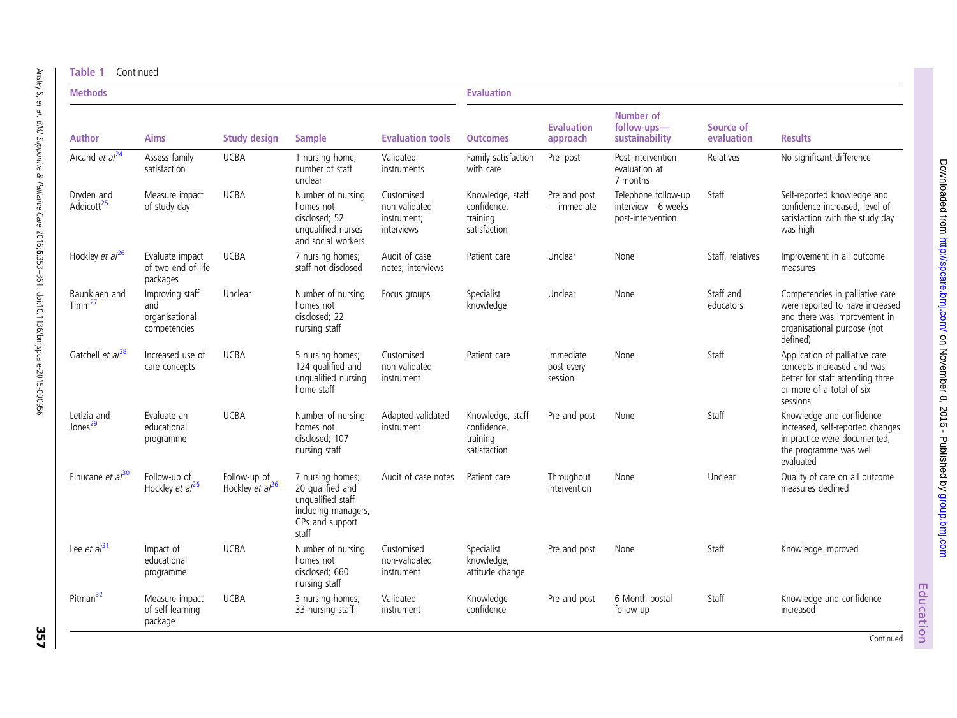| <b>Methods</b>                         |                                                          |                                      |                                                                                                              |                                                          | <b>Evaluation</b>                                           |                                    |                                                               |                         |                                                                                                                                               |
|----------------------------------------|----------------------------------------------------------|--------------------------------------|--------------------------------------------------------------------------------------------------------------|----------------------------------------------------------|-------------------------------------------------------------|------------------------------------|---------------------------------------------------------------|-------------------------|-----------------------------------------------------------------------------------------------------------------------------------------------|
| <b>Author</b>                          | <b>Aims</b>                                              | <b>Study design</b>                  | <b>Sample</b>                                                                                                | <b>Evaluation tools</b>                                  | <b>Outcomes</b>                                             | <b>Evaluation</b><br>approach      | Number of<br>follow-ups-<br>sustainability                    | Source of<br>evaluation | <b>Results</b>                                                                                                                                |
| Arcand et $al24$                       | Assess family<br>satisfaction                            | <b>UCBA</b>                          | 1 nursing home:<br>number of staff<br>unclear                                                                | Validated<br>instruments                                 | Family satisfaction<br>with care                            | Pre-post                           | Post-intervention<br>evaluation at<br>7 months                | Relatives               | No significant difference                                                                                                                     |
| Dryden and<br>Addicott <sup>25</sup>   | Measure impact<br>of study day                           | <b>UCBA</b>                          | Number of nursing<br>homes not<br>disclosed: 52<br>unqualified nurses<br>and social workers                  | Customised<br>non-validated<br>instrument;<br>interviews | Knowledge, staff<br>confidence,<br>training<br>satisfaction | Pre and post<br>-immediate         | Telephone follow-up<br>interview-6 weeks<br>post-intervention | Staff                   | Self-reported knowledge and<br>confidence increased, level of<br>satisfaction with the study day<br>was high                                  |
| Hockley <i>et</i> $al^{26}$            | Evaluate impact<br>of two end-of-life<br>packages        | <b>UCBA</b>                          | 7 nursing homes;<br>staff not disclosed                                                                      | Audit of case<br>notes; interviews                       | Patient care                                                | Unclear                            | None                                                          | Staff, relatives        | Improvement in all outcome<br>measures                                                                                                        |
| Raunkiaen and<br>$T_{\text{imm}}^{27}$ | Improving staff<br>and<br>organisational<br>competencies | Unclear                              | Number of nursing<br>homes not<br>disclosed; 22<br>nursing staff                                             | Focus groups                                             | Specialist<br>knowledge                                     | Unclear                            | None                                                          | Staff and<br>educators  | Competencies in palliative care<br>were reported to have increased<br>and there was improvement in<br>organisational purpose (not<br>defined) |
| Gatchell et al <sup>28</sup>           | Increased use of<br>care concepts                        | <b>UCBA</b>                          | 5 nursing homes;<br>124 qualified and<br>unqualified nursing<br>home staff                                   | Customised<br>non-validated<br>instrument                | Patient care                                                | Immediate<br>post every<br>session | None                                                          | Staff                   | Application of palliative care<br>concepts increased and was<br>better for staff attending three<br>or more of a total of six<br>sessions     |
| Letizia and<br>Jones <sup>29</sup>     | Evaluate an<br>educational<br>programme                  | <b>UCBA</b>                          | Number of nursing<br>homes not<br>disclosed; 107<br>nursing staff                                            | Adapted validated<br>instrument                          | Knowledge, staff<br>confidence,<br>training<br>satisfaction | Pre and post                       | None                                                          | Staff                   | Knowledge and confidence<br>increased, self-reported changes<br>in practice were documented,<br>the programme was well<br>evaluated           |
| Finucane et $a^{30}$                   | Follow-up of<br>Hockley et al <sup>26</sup>              | Follow-up of<br>Hockley et $al^{26}$ | 7 nursing homes:<br>20 qualified and<br>unqualified staff<br>including managers,<br>GPs and support<br>staff | Audit of case notes                                      | Patient care                                                | Throughout<br>intervention         | None                                                          | Unclear                 | Quality of care on all outcome<br>measures declined                                                                                           |
| Lee et $al31$                          | Impact of<br>educational<br>programme                    | <b>UCBA</b>                          | Number of nursing<br>homes not<br>disclosed: 660<br>nursing staff                                            | Customised<br>non-validated<br>instrument                | Specialist<br>knowledge,<br>attitude change                 | Pre and post                       | None                                                          | Staff                   | Knowledge improved                                                                                                                            |
| Pitman <sup>32</sup>                   | Measure impact<br>of self-learning<br>package            | <b>UCBA</b>                          | 3 nursing homes;<br>33 nursing staff                                                                         | Validated<br>instrument                                  | Knowledge<br>confidence                                     | Pre and post                       | 6-Month postal<br>follow-up                                   | Staff                   | Knowledge and confidence<br>increased                                                                                                         |

**Continued** 

Education

Education

Downloaded from http://spcare.bmj.com/ on November 8, 2016 - Published by group.bmj.com Downloaded from http://spcare.bmj.com/ on November 8, 2016 - Published by [group.bmj.com](http://group.bmj.com)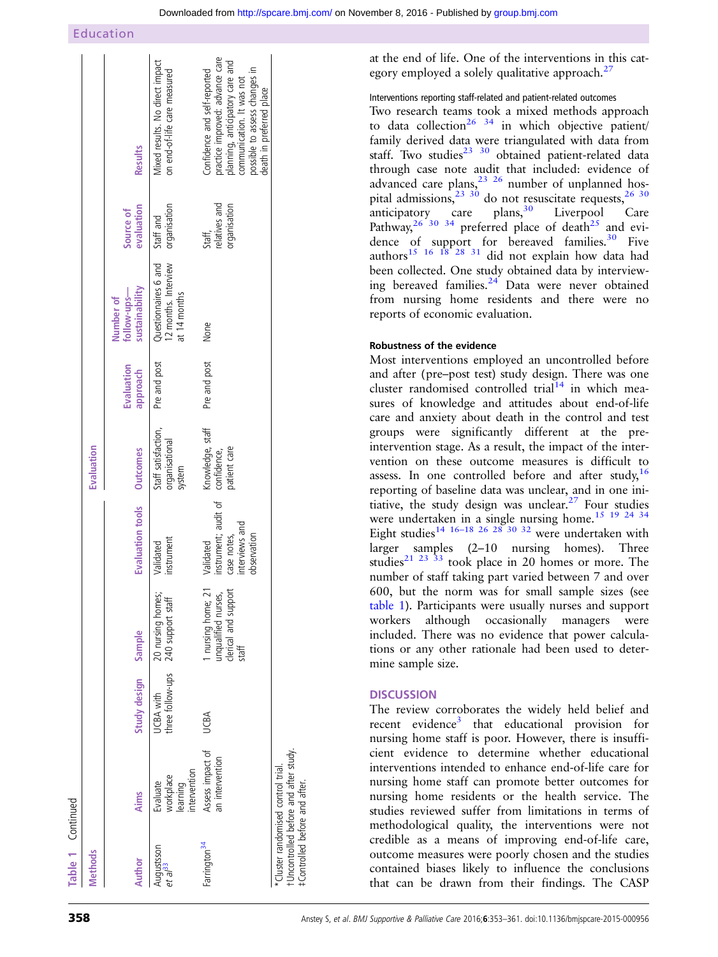Education

| <b>Methods</b>                                                     |                                                  |                               |                                                                          |                                                                                   | Evaluation                                      |                               |                                                              |                                         |                                                                                                                                                                                              |
|--------------------------------------------------------------------|--------------------------------------------------|-------------------------------|--------------------------------------------------------------------------|-----------------------------------------------------------------------------------|-------------------------------------------------|-------------------------------|--------------------------------------------------------------|-----------------------------------------|----------------------------------------------------------------------------------------------------------------------------------------------------------------------------------------------|
| <b>Author</b>                                                      | <b>Aims</b>                                      | Study design Sample           |                                                                          | Evaluation tools Outcomes                                                         |                                                 | <b>Evaluation</b><br>approach | sustainability<br>follow-ups-<br>Number of                   | evaluation<br>Source of                 | <b>Results</b>                                                                                                                                                                               |
| Augustsson<br><i>et al</i> <sup>33</sup>                           | ntervention<br>workplace<br>learning<br>Evaluate | three follow-ups<br>JCBA with | 20 nursing homes;<br>240 support staff                                   | instrument<br>Validated                                                           | Staff satisfaction,<br>organisational<br>system | Pre and post                  | Questionnaires 6 and<br>12 months. Interview<br>at 14 months | organisation<br>Staff and               | Mixed results. No direct impact<br>on end-of-life care measured                                                                                                                              |
| Farrington <sup>34</sup>                                           | Assess impact of<br>an intervention              | UCBA                          | clerical and support<br>nursing home; 21<br>inqualified nurses,<br>staff | instrument; audit of<br>interviews and<br>case notes,<br>observation<br>Validated | Knowledge, staff<br>patient care<br>confidence, | Pre and post                  | None                                                         | Staff,<br>relatives and<br>organisation | practice improved: advance care<br>planning, anticipatory care and<br>possible to assess changes in<br>Confidence and self-reported<br>communication. It was not<br>death in preferred place |
| Cluster randomised control trial.<br>tControlled before and after. | Uncontrolled before and after study.             |                               |                                                                          |                                                                                   |                                                 |                               |                                                              |                                         |                                                                                                                                                                                              |

at the end of life. One of the interventions in this category employed a solely qualitative approach. $^{27}$  $^{27}$  $^{27}$ 

Interventions reporting staff-related and patient-related outcomes

Two research teams took a mixed methods approach to data collection<sup>[26](#page-7-0) [34](#page-8-0)</sup> in which objective patient/ family derived data were triangulated with data from staff. Two studies $^{23}$  $^{23}$  $^{23}$   $^{30}$  obtained patient-related data through case note audit that included: evidence of advanced care plans,  $23 \frac{26}{5}$  number of unplanned hospital admissions,  $23 \frac{30}{10}$  $23 \frac{30}{10}$  do not resuscitate requests,  $26 \frac{30}{10}$  $26 \frac{30}{10}$ anticipatory care plans,<sup>[30](#page-8-0)</sup> Liverpool Care Pathway,  $26^{30}$  $26^{30}$  34 preferred place of death $25$  and evi-dence of support for bereaved families.<sup>[30](#page-8-0)</sup> Five authors<sup>[15 16 18 28](#page-7-0) [31](#page-8-0)</sup> did not explain how data had been collected. One study obtained data by interview-ing bereaved families.<sup>[24](#page-7-0)</sup> Data were never obtained from nursing home residents and there were no reports of economic evaluation.

## Robustness of the evidence

Most interventions employed an uncontrolled before and after (pre–post test) study design. There was one cluster randomised controlled trial<sup>[14](#page-7-0)</sup> in which measures of knowledge and attitudes about end-of-life care and anxiety about death in the control and test groups were significantly different at the preintervention stage. As a result, the impact of the intervention on these outcome measures is difficult to assess. In one controlled before and after study,  $16$ reporting of baseline data was unclear, and in one ini-tiative, the study design was unclear.<sup>[27](#page-7-0)</sup> Four studies were undertaken in a single nursing home.<sup>[15 19 24](#page-7-0) [34](#page-8-0)</sup> Eight studies<sup>[14 16](#page-7-0)–18 [26 28](#page-7-0) [30 32](#page-8-0)</sup> were undertaken with larger samples (2–10 nursing homes). Three studies<sup>21</sup> <sup>23</sup> <sup>33</sup> took place in 20 homes or more. The number of staff taking part varied between 7 and over 600, but the norm was for small sample sizes (see [table 1](#page-3-0)). Participants were usually nurses and support workers although occasionally managers were included. There was no evidence that power calculations or any other rationale had been used to determine sample size.

#### **DISCUSSION**

The review corroborates the widely held belief and recent evidence<sup>[3](#page-7-0)</sup> that educational provision for nursing home staff is poor. However, there is insufficient evidence to determine whether educational interventions intended to enhance end-of-life care for nursing home staff can promote better outcomes for nursing home residents or the health service. The studies reviewed suffer from limitations in terms of methodological quality, the interventions were not credible as a means of improving end-of-life care, outcome measures were poorly chosen and the studies contained biases likely to influence the conclusions that can be drawn from their findings. The CASP

Table 1

Continued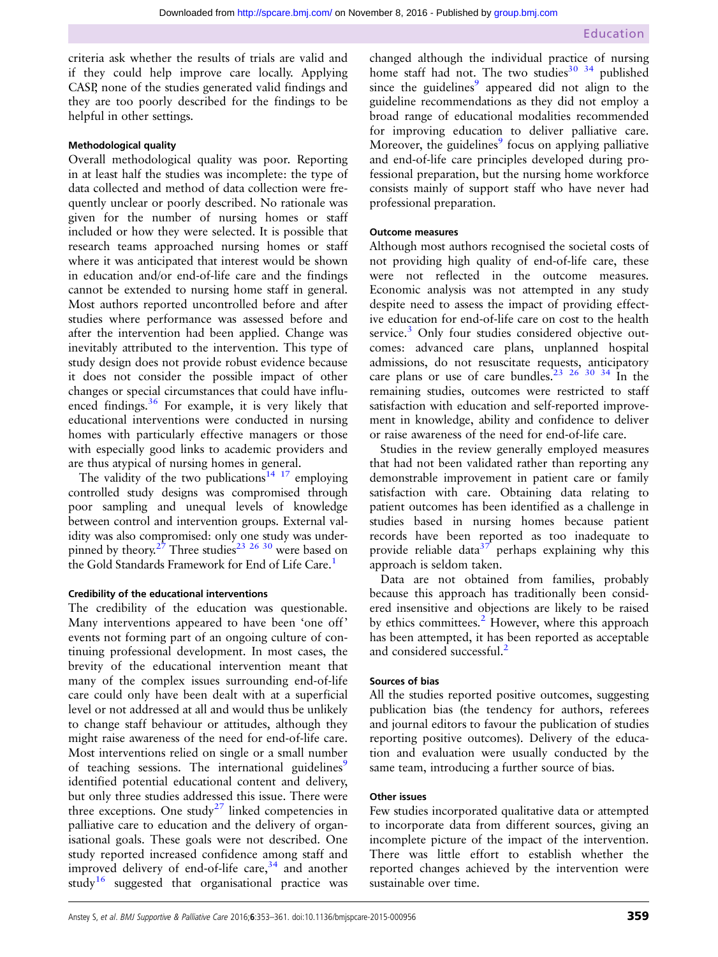criteria ask whether the results of trials are valid and if they could help improve care locally. Applying CASP, none of the studies generated valid findings and they are too poorly described for the findings to be helpful in other settings.

## Methodological quality

Overall methodological quality was poor. Reporting in at least half the studies was incomplete: the type of data collected and method of data collection were frequently unclear or poorly described. No rationale was given for the number of nursing homes or staff included or how they were selected. It is possible that research teams approached nursing homes or staff where it was anticipated that interest would be shown in education and/or end-of-life care and the findings cannot be extended to nursing home staff in general. Most authors reported uncontrolled before and after studies where performance was assessed before and after the intervention had been applied. Change was inevitably attributed to the intervention. This type of study design does not provide robust evidence because it does not consider the possible impact of other changes or special circumstances that could have influenced findings.[36](#page-8-0) For example, it is very likely that educational interventions were conducted in nursing homes with particularly effective managers or those with especially good links to academic providers and are thus atypical of nursing homes in general.

The validity of the two publications<sup>14 17</sup> employing controlled study designs was compromised through poor sampling and unequal levels of knowledge between control and intervention groups. External validity was also compromised: only one study was under-pinned by theory.<sup>[27](#page-7-0)</sup> Three studies<sup>23 26 [30](#page-8-0)</sup> were based on the Gold Standards Framework for End of Life Care.<sup>1</sup>

## Credibility of the educational interventions

The credibility of the education was questionable. Many interventions appeared to have been 'one off' events not forming part of an ongoing culture of continuing professional development. In most cases, the brevity of the educational intervention meant that many of the complex issues surrounding end-of-life care could only have been dealt with at a superficial level or not addressed at all and would thus be unlikely to change staff behaviour or attitudes, although they might raise awareness of the need for end-of-life care. Most interventions relied on single or a small number of teaching sessions. The international guidelines<sup>[9](#page-7-0)</sup> identified potential educational content and delivery, but only three studies addressed this issue. There were three exceptions. One study<sup>[27](#page-7-0)</sup> linked competencies in palliative care to education and the delivery of organisational goals. These goals were not described. One study reported increased confidence among staff and improved delivery of end-of-life care,  $34$  and another study<sup>[16](#page-7-0)</sup> suggested that organisational practice was

changed although the individual practice of nursing home staff had not. The two studies $30^{34}$  published since the guidelines $9$  appeared did not align to the guideline recommendations as they did not employ a broad range of educational modalities recommended for improving education to deliver palliative care. Moreover, the guidelines $\degree$  focus on applying palliative and end-of-life care principles developed during professional preparation, but the nursing home workforce consists mainly of support staff who have never had professional preparation.

## Outcome measures

Although most authors recognised the societal costs of not providing high quality of end-of-life care, these were not reflected in the outcome measures. Economic analysis was not attempted in any study despite need to assess the impact of providing effective education for end-of-life care on cost to the health service.<sup>[3](#page-7-0)</sup> Only four studies considered objective outcomes: advanced care plans, unplanned hospital admissions, do not resuscitate requests, anticipatory care plans or use of care bundles.<sup>[23 26](#page-7-0)</sup> <sup>30</sup> <sup>34</sup> In the remaining studies, outcomes were restricted to staff satisfaction with education and self-reported improvement in knowledge, ability and confidence to deliver or raise awareness of the need for end-of-life care.

Studies in the review generally employed measures that had not been validated rather than reporting any demonstrable improvement in patient care or family satisfaction with care. Obtaining data relating to patient outcomes has been identified as a challenge in studies based in nursing homes because patient records have been reported as too inadequate to provide reliable data $37$  perhaps explaining why this approach is seldom taken.

Data are not obtained from families, probably because this approach has traditionally been considered insensitive and objections are likely to be raised by ethics committees.<sup>[2](#page-7-0)</sup> However, where this approach has been attempted, it has been reported as acceptable and considered successful.<sup>[2](#page-7-0)</sup>

## Sources of bias

All the studies reported positive outcomes, suggesting publication bias (the tendency for authors, referees and journal editors to favour the publication of studies reporting positive outcomes). Delivery of the education and evaluation were usually conducted by the same team, introducing a further source of bias.

## Other issues

Few studies incorporated qualitative data or attempted to incorporate data from different sources, giving an incomplete picture of the impact of the intervention. There was little effort to establish whether the reported changes achieved by the intervention were sustainable over time.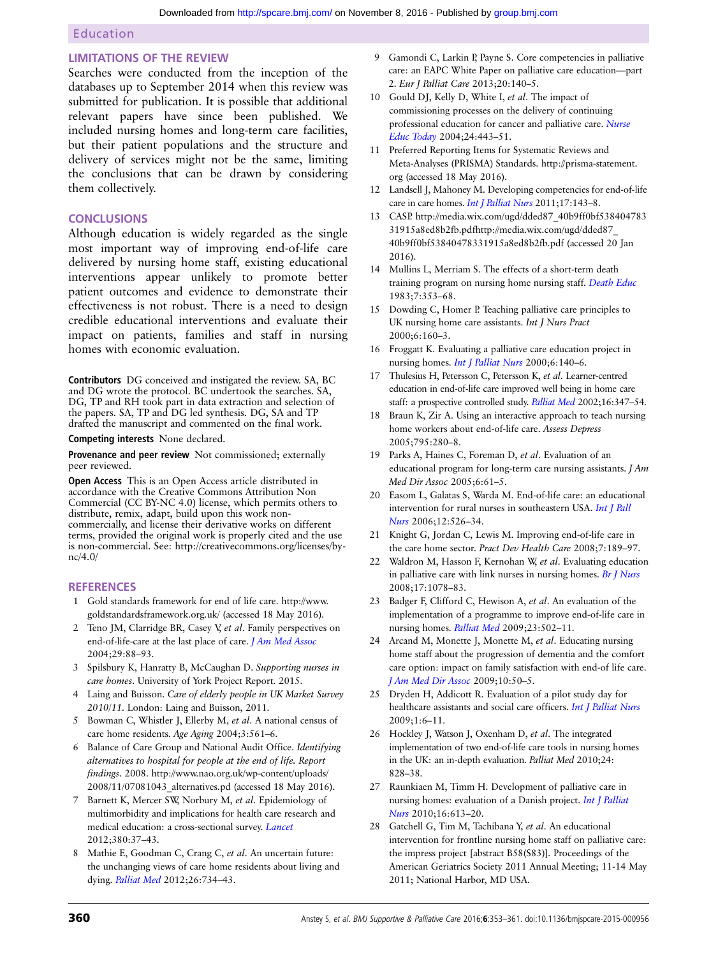### <span id="page-7-0"></span>Education

## LIMITATIONS OF THE REVIEW

Searches were conducted from the inception of the databases up to September 2014 when this review was submitted for publication. It is possible that additional relevant papers have since been published. We included nursing homes and long-term care facilities, but their patient populations and the structure and delivery of services might not be the same, limiting the conclusions that can be drawn by considering them collectively.

#### **CONCLUSIONS**

Although education is widely regarded as the single most important way of improving end-of-life care delivered by nursing home staff, existing educational interventions appear unlikely to promote better patient outcomes and evidence to demonstrate their effectiveness is not robust. There is a need to design credible educational interventions and evaluate their impact on patients, families and staff in nursing homes with economic evaluation.

Contributors DG conceived and instigated the review. SA, BC and DG wrote the protocol. BC undertook the searches. SA, DG, TP and RH took part in data extraction and selection of the papers. SA, TP and DG led synthesis. DG, SA and TP drafted the manuscript and commented on the final work.

Competing interests None declared.

Provenance and peer review Not commissioned; externally peer reviewed.

Open Access This is an Open Access article distributed in accordance with the Creative Commons Attribution Non Commercial (CC BY-NC 4.0) license, which permits others to distribute, remix, adapt, build upon this work noncommercially, and license their derivative works on different terms, provided the original work is properly cited and the use is non-commercial. See: [http://creativecommons.org/licenses/by](http://creativecommons.org/licenses/by-nc/4.0/)[nc/4.0/](http://creativecommons.org/licenses/by-nc/4.0/)

#### **REFERENCES**

- 1 Gold standards framework for end of life care. [http://www.](http://www.goldstandardsframework.org.uk/) [goldstandardsframework.org.uk/](http://www.goldstandardsframework.org.uk/) (accessed 18 May 2016).
- 2 Teno JM, Clarridge BR, Casey V, et al. Family perspectives on end-of-life-care at the last place of care. *[J Am Med Assoc](http://dx.doi.org/10.1001/jama.291.1.88)* 2004;29:88–93.
- 3 Spilsbury K, Hanratty B, McCaughan D. Supporting nurses in care homes. University of York Project Report. 2015.
- 4 Laing and Buisson. Care of elderly people in UK Market Survey 2010/11. London: Laing and Buisson, 2011.
- 5 Bowman C, Whistler J, Ellerby M, et al. A national census of care home residents. Age Aging 2004;3:561–6.
- 6 Balance of Care Group and National Audit Office. Identifying alternatives to hospital for people at the end of life. Report findings. 2008. [http://www.nao.org.uk/wp-content/uploads/](http://www.nao.org.uk/wp-content/uploads/2008/11/07081043_alternatives.pd) [2008/11/07081043\\_alternatives.pd](http://www.nao.org.uk/wp-content/uploads/2008/11/07081043_alternatives.pd) (accessed 18 May 2016).
- 7 Barnett K, Mercer SW, Norbury M, et al. Epidemiology of multimorbidity and implications for health care research and medical education: a cross-sectional survey. [Lancet](http://dx.doi.org/10.1016/S0140-6736(12)60240-2) 2012;380:37–43.
- 8 Mathie E, Goodman C, Crang C, et al. An uncertain future: the unchanging views of care home residents about living and dying. [Palliat Med](http://dx.doi.org/10.1177/0269216311412233) 2012;26:734–43.
- 9 Gamondi C, Larkin P, Payne S. Core competencies in palliative care: an EAPC White Paper on palliative care education—part 2. Eur J Palliat Care 2013;20:140–5.
- 10 Gould DJ, Kelly D, White I, et al. The impact of commissioning processes on the delivery of continuing professional education for cancer and palliative care. [Nurse](http://dx.doi.org/10.1016/j.nedt.2004.04.009) [Educ Today](http://dx.doi.org/10.1016/j.nedt.2004.04.009) 2004;24:443–51.
- 11 Preferred Reporting Items for Systematic Reviews and Meta-Analyses (PRISMA) Standards. [http://prisma-statement.](http://prisma-statement.org) [org](http://prisma-statement.org) (accessed 18 May 2016).
- 12 Landsell J, Mahoney M. Developing competencies for end-of-life care in care homes. [Int J Palliat Nurs](http://dx.doi.org/10.12968/ijpn.2011.17.3.143) 2011;17:143-8.
- 13 CASP. [http://media.wix.com/ugd/dded87\\_40b9ff0bf538404783](http://media.wix.com/ugd/dded87_40b9ff0bf53840478331915a8ed8b2fb.pdfhttp://media.wix.com/ugd/dded87_40b9ff0bf53840478331915a8ed8b2fb.pdf) [31915a8ed8b2fb.pdfhttp://media.wix.com/ugd/dded87\\_](http://media.wix.com/ugd/dded87_40b9ff0bf53840478331915a8ed8b2fb.pdfhttp://media.wix.com/ugd/dded87_40b9ff0bf53840478331915a8ed8b2fb.pdf) [40b9ff0bf53840478331915a8ed8b2fb.pdf](http://media.wix.com/ugd/dded87_40b9ff0bf53840478331915a8ed8b2fb.pdfhttp://media.wix.com/ugd/dded87_40b9ff0bf53840478331915a8ed8b2fb.pdf) (accessed 20 Jan 2016).
- 14 Mullins L, Merriam S. The effects of a short-term death training program on nursing home nursing staff. [Death Educ](http://dx.doi.org/10.1080/07481188308251371) 1983;7:353–68.
- 15 Dowding C, Homer P. Teaching palliative care principles to UK nursing home care assistants. Int J Nurs Pract 2000;6:160–3.
- 16 Froggatt K. Evaluating a palliative care education project in nursing homes. *[Int J Palliat Nurs](http://dx.doi.org/10.12968/ijpn.2000.6.3.8941)* 2000;6:140–6.
- 17 Thulesius H, Petersson C, Petersson K, et al. Learner-centred education in end-of-life care improved well being in home care staff: a prospective controlled study. [Palliat Med](http://dx.doi.org/10.1191/0269216302pm568oa) 2002;16:347-54.
- 18 Braun K, Zir A. Using an interactive approach to teach nursing home workers about end-of-life care. Assess Depress 2005;795:280–8.
- 19 Parks A, Haines C, Foreman D, et al. Evaluation of an educational program for long-term care nursing assistants. J Am Med Dir Assoc 2005;6:61–5.
- 20 Easom L, Galatas S, Warda M. End-of-life care: an educational intervention for rural nurses in southeastern USA. [Int J Pall](http://dx.doi.org/10.12968/ijpn.2006.12.11.22400) [Nurs](http://dx.doi.org/10.12968/ijpn.2006.12.11.22400) 2006;12:526–34.
- 21 Knight G, Jordan C, Lewis M. Improving end-of-life care in the care home sector. Pract Dev Health Care 2008;7:189-97.
- 22 Waldron M, Hasson F, Kernohan W, et al. Evaluating education in palliative care with link nurses in nursing homes. [Br J Nurs](http://dx.doi.org/10.12968/bjon.2008.17.17.31104) 2008;17:1078–83.
- 23 Badger F, Clifford C, Hewison A, et al. An evaluation of the implementation of a programme to improve end-of-life care in nursing homes. [Palliat Med](http://dx.doi.org/10.1177/0269216309105893) 2009;23:502-11.
- 24 Arcand M, Monette J, Monette M, et al. Educating nursing home staff about the progression of dementia and the comfort care option: impact on family satisfaction with end-of life care. [J Am Med Dir Assoc](http://dx.doi.org/10.1016/j.jamda.2008.07.008) 2009;10:50–5.
- 25 Dryden H, Addicott R. Evaluation of a pilot study day for healthcare assistants and social care officers. [Int J Palliat Nurs](http://dx.doi.org/10.12968/ijpn.2009.15.1.37946) 2009;1:6–11.
- 26 Hockley J, Watson J, Oxenham D, et al. The integrated implementation of two end-of-life care tools in nursing homes in the UK: an in-depth evaluation. Palliat Med 2010;24: 828–38.
- 27 Raunkiaen M, Timm H. Development of palliative care in nursing homes: evaluation of a Danish project. [Int J Palliat](http://dx.doi.org/10.12968/ijpn.2010.16.12.613) [Nurs](http://dx.doi.org/10.12968/ijpn.2010.16.12.613) 2010;16:613–20.
- 28 Gatchell G, Tim M, Tachibana Y, et al. An educational intervention for frontline nursing home staff on palliative care: the impress project [abstract B58(S83)]. Proceedings of the American Geriatrics Society 2011 Annual Meeting; 11-14 May 2011; National Harbor, MD USA.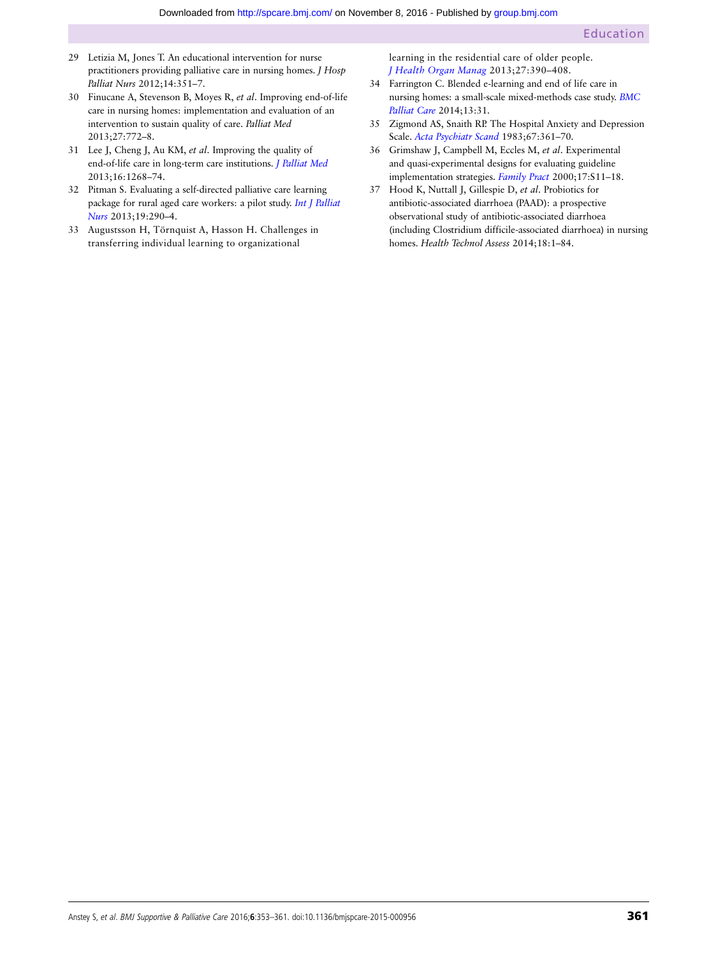- <span id="page-8-0"></span>29 Letizia M, Jones T. An educational intervention for nurse practitioners providing palliative care in nursing homes. J Hosp Palliat Nurs 2012;14:351–7.
- 30 Finucane A, Stevenson B, Moyes R, et al. Improving end-of-life care in nursing homes: implementation and evaluation of an intervention to sustain quality of care. Palliat Med 2013;27:772–8.
- 31 Lee J, Cheng J, Au KM, et al. Improving the quality of end-of-life care in long-term care institutions. [J Palliat Med](http://dx.doi.org/10.1089/jpm.2013.0190) 2013;16:1268–74.
- 32 Pitman S. Evaluating a self-directed palliative care learning package for rural aged care workers: a pilot study. [Int J Palliat](http://dx.doi.org/10.12968/ijpn.2013.19.6.290) [Nurs](http://dx.doi.org/10.12968/ijpn.2013.19.6.290) 2013;19:290–4.
- 33 Augustsson H, Törnquist A, Hasson H. Challenges in transferring individual learning to organizational

learning in the residential care of older people. [J Health Organ Manag](http://dx.doi.org/10.1108/JHOM-Sep-2012-0163) 2013;27:390–408.

- 34 Farrington C. Blended e-learning and end of life care in nursing homes: a small-scale mixed-methods case study. [BMC](http://dx.doi.org/10.1186/1472-684X-13-31) [Palliat Care](http://dx.doi.org/10.1186/1472-684X-13-31) 2014;13:31.
- 35 Zigmond AS, Snaith RP. The Hospital Anxiety and Depression Scale. [Acta Psychiatr Scand](http://dx.doi.org/10.1111/j.1600-0447.1983.tb09716.x) 1983;67:361-70.
- 36 Grimshaw J, Campbell M, Eccles M, et al. Experimental and quasi-experimental designs for evaluating guideline implementation strategies. [Family Pract](http://dx.doi.org/10.1093/fampra/17.suppl_1.S11) 2000;17:S11-18.
- 37 Hood K, Nuttall J, Gillespie D, et al. Probiotics for antibiotic-associated diarrhoea (PAAD): a prospective observational study of antibiotic-associated diarrhoea (including Clostridium difficile-associated diarrhoea) in nursing homes. Health Technol Assess 2014;18:1-84.